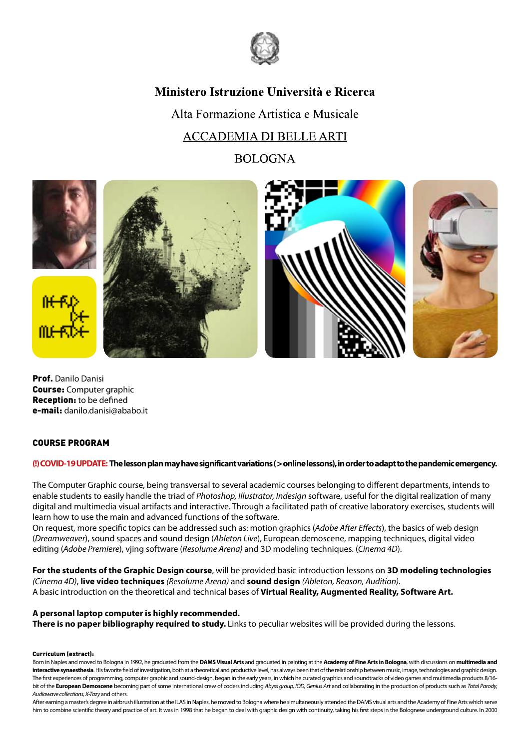

# Ministero Istruzione Università e Ricerca

Alta Formazione Artistica e Musicale **ACCADEMIA DI BELLE ARTI** 

**BOLOGNA** 



Prof. Danilo Danisi Course: Computer graphic Reception: to be defined e-mail: danilo.danisi@ababo.it

## COURSE PROGRAM

### **(!) COVID-19 UPDATE: The lesson plan may have significant variations ( > online lessons), in order to adapt to the pandemic emergency.**

The Computer Graphic course, being transversal to several academic courses belonging to different departments, intends to enable students to easily handle the triad of *Photoshop, Illustrator, Indesign* software, useful for the digital realization of many digital and multimedia visual artifacts and interactive. Through a facilitated path of creative laboratory exercises, students will learn how to use the main and advanced functions of the software.

On request, more specific topics can be addressed such as: motion graphics (*Adobe After Effects*), the basics of web design (*Dreamweaver*), sound spaces and sound design (*Ableton Live*), European demoscene, mapping techniques, digital video editing (*Adobe Premiere*), vjing software (*Resolume Arena)* and 3D modeling techniques. (*Cinema 4D*).

**For the students of the Graphic Design course**, will be provided basic introduction lessons on **3D modeling technologies** *(Cinema 4D)*, **live video techniques** *(Resolume Arena)* and **sound design** *(Ableton, Reason, Audition)*. A basic introduction on the theoretical and technical bases of **Virtual Reality, Augmented Reality, Software Art.**

### **A personal laptop computer is highly recommended.**

**There is no paper bibliography required to study.** Links to peculiar websites will be provided during the lessons.

#### Curriculum (extract):

Born in Naples and moved to Bologna in 1992, he graduated from the **DAMS Visual Arts** and graduated in painting at the **Academy of Fine Arts in Bologna**, with discussions on **multimedia and interactive synaesthesia**. His favorite field of investigation, both at a theoretical and productive level, has always been that of the relationship between music, image, technologies and graphic design. The first experiences of programming, computer graphic and sound-design, began in the early years, in which he curated graphics and soundtracks of video games and multimedia products 8/16bit of the **European Demoscene** becoming part of some international crew of coders including *Abyss group, IOD, Genius Art* and collaborating in the production of products such as *Total Parody, Audiowave collections, X-Tazy* and others.

After earning a master's degree in airbrush illustration at the ILAS in Naples, he moved to Bologna where he simultaneously attended the DAMS visual arts and the Academy of Fine Arts which serve him to combine scientific theory and practice of art. It was in 1998 that he began to deal with graphic design with continuity, taking his first steps in the Bolognese underground culture. In 2000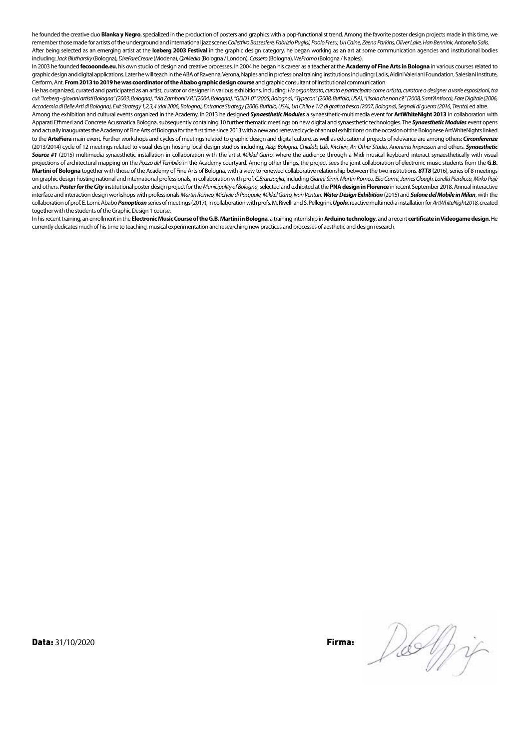he founded the creative duo **Blanka y Negro**, specialized in the production of posters and graphics with a pop-functionalist trend. Among the favorite poster design projects made in this time, we remember those made for artists of the underground and international jazz scene: *Collettivo Bassesfere, Fabrizio Puglisi, Paolo Fresu, Uri Caine, Zeena Parkins, Oliver Lake, Han Bennink, Antonello Salis.*  After being selected as an emerging artist at the **Iceberg 2003 Festival** in the graphic design category, he began working as an art at some communication agencies and institutional bodies including: *Jack Blutharsky* (Bologna), *DireFareCreare* (Modena), *QxMedia* (Bologna / London), *Cassero* (Bologna), *WePromo* (Bologna / Naples).

In 2003 he founded **fecooonde.eu**, his own studio of design and creative processes. In 2004 he began his career as a teacher at the **Academy of Fine Arts in Bologna** in various courses related to graphic design and digital applications. Later he will teach in the ABA of Ravenna, Verona, Naples and in professional training institutions including: Ladis, Aldini Valeriani Foundation, Salesiani Institute, Cerform, Ant. **From 2013 to 2019 he was coordinator of the Ababo graphic design course** and graphic consultant of institutional communication.

He has organized, curated and participated as an artist, curator or designer in various exhibitions, including: *Ha organizzato, curato e partecipato come artista, curatore o designer a varie esposizioni, tra cui: "Iceberg - giovani artisti Bologna" (2003, Bologna), "Via Zamboni V.R." (2004, Bologna), "GDD1.0" (2005, Bologna), "Typecon" (2008, Buffalo, USA), "L'isola che non c'è" (2008, Sant'Antioco), Fare Digitale (2006, Accademia di Belle Arti di Bologna), Exit Strategy 1,2,3,4 (dal 2006, Bologna), Entrance Strategy (2006, Buffalo, USA), Un Chilo e 1/2 di grafica fresca (2007, Bologna), Segnali di guerra (2016, Trento)* ed altre.

Among the exhibition and cultural events organized in the Academy, in 2013 he designed *Synaesthetic Modules* a synaesthetic-multimedia event for **ArtWhiteNight 2013** in collaboration with Apparati Effimeri and Concrete Acusmatica Bologna, subsequently containing 10 further thematic meetings on new digital and synaesthetic technologies. The *Synaesthetic Modules* event opens and actually inaugurates the Academy of Fine Arts of Bologna for the first time since 2013 with a new and renewed cycle of annual exhibitions on the occasion of the Bolognese ArtWhiteNights linked to the **ArteFiera** main event. Further workshops and cycles of meetings related to graphic design and digital culture, as well as educational projects of relevance are among others: *Circonferenze*  (2013/2014) cycle of 12 meetings related to visual design hosting local design studios including, *Aiap Bologna, Chialab, Ldb, Kitchen, An Other Studio, Anonima Impressori* and others. *Synaesthetic Source #1* (2015) multimedia synaesthetic installation in collaboration with the artist *Mikkel Garro*, where the audience through a Midi musical keyboard interact synaesthetically with visual projections of architectural mapping on the *Pozzo del Terribilia* in the Academy courtyard. Among other things, the project sees the joint collaboration of electronic music students from the **G.B. Martini of Bologna** together with those of the Academy of Fine Arts of Bologna, with a view to renewed collaborative relationship between the two institutions. *8TT8* (2016), series of 8 meetings on graphic design hosting national and international professionals, in collaboration with prof. *C.Branzaglia*, including *Gianni Sinni, Martin Romeo, Elio Carmi, James Clough, Lorella Pierdicca, Mirko Pajè* and others. *Poster for the City* institutional poster design project for the *Municipality of Bologna*, selected and exhibited at the **PNA design in Florence** in recent September 2018. Annual interactive interface and interaction design workshops with professionals *Martin Romeo, Michele di Pasquale, Mikkel Garro, Ivan Venturi*. *Water Design Exhibition* (2015) and *Salone del Mobile in Milan*, with the collaboration of prof. E. Lomi. Ababo Panopticon series of meetings (2017), in collaboration with profs. M. Rivelli and S. Pellegrini. Ugola, reactive multimedia installation for ArtWhiteNight2018, created together with the students of the Graphic Design 1 course.

In his recent training, an enrollment in the **Electronic Music Course of the G.B. Martini in Bologna**, a training internship in **Arduino technology**, and a recent **certificate in Videogame design**. He currently dedicates much of his time to teaching, musical experimentation and researching new practices and processes of aesthetic and design research.

**Data:** 31/10/2020 **Firma: Community Community Community Community Community Community Community Community Community Community Community Community Community Community Community Community Community Community Community Com** 

Delfi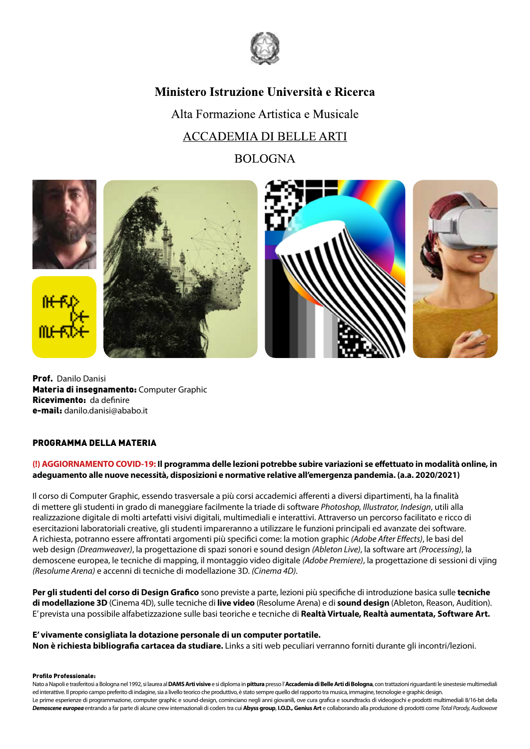

## Ministero Istruzione Università e Ricerca

Alta Formazione Artistica e Musicale **ACCADEMIA DI BELLE ARTI** 

**BOLOGNA** 



Prof. Danilo Danisi Materia di insegnamento: Computer Graphic Ricevimento: da definire e-mail: danilo.danisi@ababo.it

### PROGRAMMA DELLA MATERIA

### **(!) AGGIORNAMENTO COVID-19: Il programma delle lezioni potrebbe subire variazioni se effettuato in modalità online, in adeguamento alle nuove necessità, disposizioni e normative relative all'emergenza pandemia. (a.a. 2020/2021)**

Il corso di Computer Graphic, essendo trasversale a più corsi accademici afferenti a diversi dipartimenti, ha la finalità di mettere gli studenti in grado di maneggiare facilmente la triade di software *Photoshop, Illustrator, Indesign*, utili alla realizzazione digitale di molti artefatti visivi digitali, multimediali e interattivi. Attraverso un percorso facilitato e ricco di esercitazioni laboratoriali creative, gli studenti impareranno a utilizzare le funzioni principali ed avanzate dei software. A richiesta, potranno essere affrontati argomenti più specifici come: la motion graphic *(Adobe After Effects)*, le basi del web design *(Dreamweaver)*, la progettazione di spazi sonori e sound design *(Ableton Live)*, la software art *(Processing)*, la demoscene europea, le tecniche di mapping, il montaggio video digitale *(Adobe Premiere)*, la progettazione di sessioni di vjing *(Resolume Arena)* e accenni di tecniche di modellazione 3D. *(Cinema 4D).*

**Per gli studenti del corso di Design Grafico** sono previste a parte, lezioni più specifiche di introduzione basica sulle **tecniche di modellazione 3D** (Cinema 4D), sulle tecniche di **live video** (Resolume Arena) e di **sound design** (Ableton, Reason, Audition). E' prevista una possibile alfabetizzazione sulle basi teoriche e tecniche di **Realtà Virtuale, Realtà aumentata, Software Art.**

**E' vivamente consigliata la dotazione personale di un computer portatile. Non è richiesta bibliografia cartacea da studiare.** Links a siti web peculiari verranno forniti durante gli incontri/lezioni.

#### Profilo Professionale:

Nato a Napoli e trasferitosi a Bologna nel 1992, si laurea al **DAMS Arti visive** e si diploma in **pittura** presso l' **Accademia di Belle Arti di Bologna**, con trattazioni riguardanti le sinestesie multimediali ed interattive. Il proprio campo preferito di indagine, sia a livello teorico che produttivo, è stato sempre quello del rapporto tra musica, immagine, tecnologie e graphic design. Le prime esperienze di programmazione, computer graphic e sound-design, cominciano negli anni giovanili, ove cura grafica e soundtracks di videogiochi e prodotti multimediali 8/16-bit della *Demoscene europea* entrando a far parte di alcune crew internazionali di coders tra cui **Abyss group**, **I.O.D., Genius Art** e collaborando alla produzione di prodotti come *Total Parody, Audiowave*